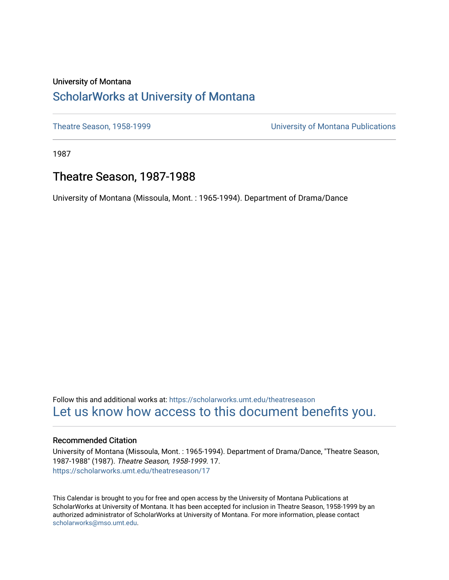### University of Montana [ScholarWorks at University of Montana](https://scholarworks.umt.edu/)

[Theatre Season, 1958-1999](https://scholarworks.umt.edu/theatreseason) [University of Montana Publications](https://scholarworks.umt.edu/umpubs) 

1987

# Theatre Season, 1987-1988

University of Montana (Missoula, Mont. : 1965-1994). Department of Drama/Dance

Follow this and additional works at: [https://scholarworks.umt.edu/theatreseason](https://scholarworks.umt.edu/theatreseason?utm_source=scholarworks.umt.edu%2Ftheatreseason%2F17&utm_medium=PDF&utm_campaign=PDFCoverPages)  [Let us know how access to this document benefits you.](https://goo.gl/forms/s2rGfXOLzz71qgsB2) 

### Recommended Citation

University of Montana (Missoula, Mont. : 1965-1994). Department of Drama/Dance, "Theatre Season, 1987-1988" (1987). Theatre Season, 1958-1999. 17. [https://scholarworks.umt.edu/theatreseason/17](https://scholarworks.umt.edu/theatreseason/17?utm_source=scholarworks.umt.edu%2Ftheatreseason%2F17&utm_medium=PDF&utm_campaign=PDFCoverPages) 

This Calendar is brought to you for free and open access by the University of Montana Publications at ScholarWorks at University of Montana. It has been accepted for inclusion in Theatre Season, 1958-1999 by an authorized administrator of ScholarWorks at University of Montana. For more information, please contact [scholarworks@mso.umt.edu.](mailto:scholarworks@mso.umt.edu)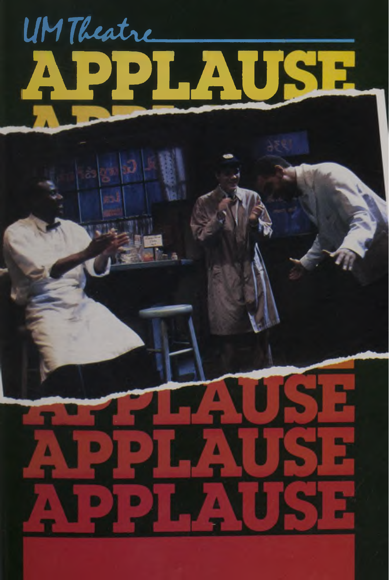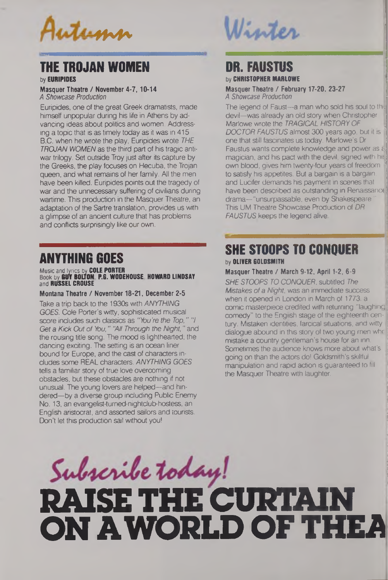

### **THE TROJAN WOMEN**

by **EURIPIDES**

**Masquer Theatre / November 4-7,10-14** *A Showcase Production*

Euripides, one of the great Greek dramatists, made himself unpopular during his life in Athens by advancing ideas about politics and women. Addressing a topic that is as timely today as it was in 415 B.C. when he wrote the play, Euripides wrote *THE TROJAN WOMEN* as the third part of his tragic antiwar trilogy. Set outside Troy just after its capture by the Greeks, the play focuses on Hecuba, the Trojan queen, and what remains of her family. All the men have been killed. Euripides points out the tragedy of war and the unnecessary suffering of civilians during wartime. This production in the Masquer Theatre, an adaptation of the Sartre translation, provides us with a glimpse of an ancient culture that has problems and conflicts surprisingly like our own.

## **ANYTHING GOES**

### Music and lyrics by **COLE PORTER** Book by **RUT BOLTON P.G. WODEHOUSE HOWARD LINDSAY** and **RUSSEL CROUSE**

### **Montana Theatre / November 18-21, December 2-5**

Take a trip back to the 1930s with *ANYTHING GOES.* Cole Porter's witty, sophisticated musical score includes such classics as *"You're the Top," "I Get a Kick Out of You," "All Through the Night,"* and the rousing title song. The mood is lighthearted; the dancing exciting. The setting is an ocean liner bound for Europe, and the cast of characters includes some REAL characters. *ANYTHING GOES* tells a familiar story of true love overcoming obstacles, but these obstacles are nothing if not unusual. The young lovers are helped—and hindered—by a diverse group including Public Enemy No. 13, an evangelist-tumed-nightclub-hostess, an English aristocrat, and assorted sailors and tourists. Don't let this production sail without you!

# Winter

# **DR. FAUSTUS**

by **CHRISTOPHER MARLOWE**

**Masquer Theatre / February 17-20, 23-27** *A Showcase Production*

The legend of Faust—a man who sold his soul to th. devil—was already an old story when Christopher Marlowe wrote the *TRAGICAL HISTORY OF DOCTOR FAUSTUS* almost 300 years ago, but it is ' one that still fascinates us today. Marlowe's Dr Faustus wants complete knowledge and power as  $\epsilon$ magician, and his pact with the devil, signed with his own blood, gives him twenty-four years of freedom to satisfy his appetites. But a bargain is a bargain and Lucifer demands his payment in scenes that have been described as outstanding in Renaissance drama—"unsurpassable, even by Shakespeare" This UM Theatre Showcase Production of *DR FAUSTUS* keeps the legend alive.

### **SHE STOOPS TO CONQUER** by **OLIVER GOLDSMITH**

### **Masquer Theatre / March 9-12, April 1-2,6-9**

*SHE STOOPS TO CONQUER,* subtitled *The Mistakes ofa Night,* was an immediate success when it opened in London in March of 1773, a comic masterpiece credited with returning "laughing comedy" to the English stage of the eighteenth century. Mistaken identities, farcical situations, and witty dialogue abound in this story of two young men whc mistake a country gentleman's house for an inn. Sometimes the audience knows more about what's going on than the actors do! Goldsmith's skillful manipulation and rapid action is guaranteed to fill the Masquer Theatre with laughter.

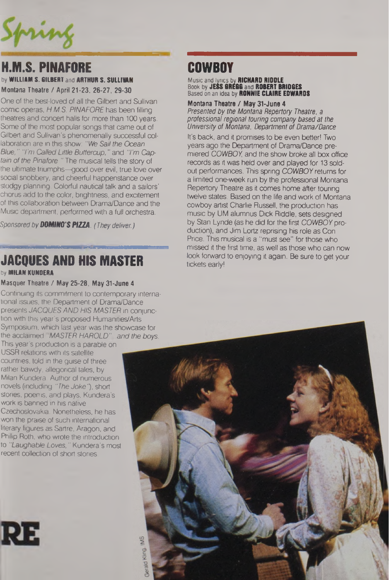Spring

### **H.M.S. PINAFORE COWBOY** by **WILLIAM S. GILBERT** and **ARTHUR S. SULLIVAN**

**Montana Theatre / April 21-23, 26-27, 29-30**

One of the best-loved of all the Gilbert and Sullivan comic operas, *H.M.S. PINAFORE* has been filling theatres and concert halls for more than 100 years. Some of the most popular songs that came out of Gilbert and Sullivan's phenomenally successful collaboration are in this show: "We Sail the Ocean *Blue," "I'm Called Little Buttercup,"* and *"I'm Captain of the Pinafore."* The musical tells the story of the ultimate triumphs—good over evil, true love over social snobbery, and cheerful happenstance over stodgy planning. Colorful nautical talk and a sailors' chorus add to the color, brightness, and excitement of this collaboration between Drama/Dance and the Music department, performed with a full orchestra.

*Sponsored by DOMINO'S PIZZA. (They deliver.)*

# **JACQUES AND HIS MASTER**

### by **MILAN KUNDERA**

### **Masquer Theatre / May 25-28, May 31-June <sup>4</sup>**

Continuing its commitment to contemporary international issues, the Department of Drama/Dance presents *JACQUES AND HIS MASTER* in conjunction with this year's proposed Humanities/Arts Symposium, which last year was the showcase for the acclaimed *"MASTER HAROLD"...and the boys.* This year's production is a parable on

USSR relations with its satellite countries, told in the guise of three rather bawdy, allegorical tales, by Milan Kundera. Author of numerous novels (including *"The Joke"),* short stories, poems, and plays, Kundera's work is banned in his native Czechoslovakia. Nonetheless, he has won the praise of such international literary figures as Sartre, Aragon, and Philip Roth, who wrote the introduction to *"Laughable Loves,"* Kundera's most recent collection of short stories.



Music and lyrics by **RICHARD RIDDLE** Book by **JEDS DRESS** and **ROSERT SRID6ES** Based on an idea by **RONNIE CLAIRE EDWARDS**

**Montana Theatre / May 31-June <sup>4</sup>** *Presented by the Montana Repertory Theatre, a professional regional touring company based at the University of Montana, Department of Drama/Dance*

It's back, and it promises to be even better! Two years ago the Department of Drama/Dance premiered *COWBOY,* and the show broke all box office records as it was held over and played for 13 soldout performances. This spring COWBOY returns for a limited one-week run by the professional Montana Repertory Theatre as it comes home after touring twelve states. Based on the life and work of Montana cowboy artist Charlie Russell, the production has music by UM alumnus Dick Riddle, sets designed by Stan Lynde (as he did for the first *COWBOY* production), and Jim Lortz reprising his role as Con Price. This musical is a "must see" for those who missed it the first time, as well as those who can now look forward to enjoying it again. Be sure to get your tickets early!

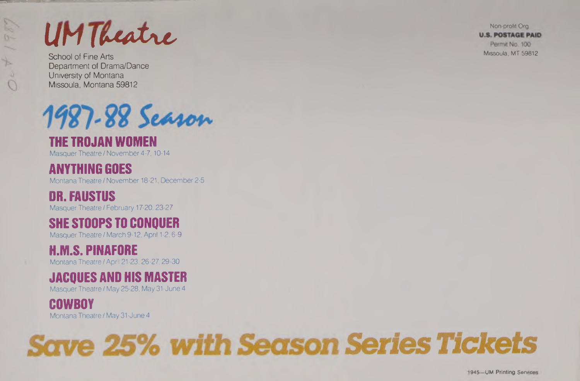$\bigcirc$ 

**ICONSECT OF THE ARTS US. POSTAGE PAID**<br>
School of Fine Arts<br>
Missoula, MT 59812

Department of Drama/Dance University of Montana Missoula, Montana 59812



### **THE TROJAN WOMEN**

Masquer Theatre/November 4-7,10-14

# **ANYTHING GOES**

Montana Theatre *I* November 18-21, December 2-5

# **DR. FAUSTUS**

Masquer Theatre *I* February 17-20,23-27

# **SHE STOOPS TO CONQUER**

Masquer Theatre / March 9-12, April 1-2,6-9

### **H.M.S. PINAFORE**

Montana Theatre / April 21-23.26-27.29-30

# **JACQUES AND HIS MASTER**

Masquer Theatre / May 25-28, May 31-June <sup>4</sup>

# **COWBOY**

Montana Theatre / May 31-June <sup>4</sup>

# **Save 25% with Season Series Tickets**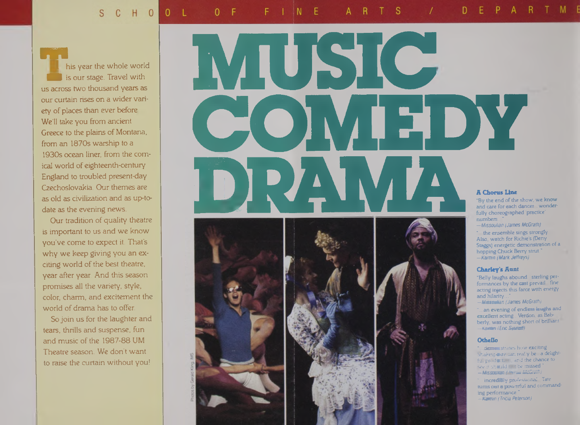**■VI** his year the whole world is our stage. Travel with us across two thousand years as our curtain rises on a wider variety of places than ever before We'll take you from ancient Greece to the plains of Montana, from an 1870s warship to a 1930s ocean liner, from the comical world of eighteenth-century England to troubled present-day Czechoslovakia. Our themes are as old as civilization and as up-todate as the evening news.

Our tradition of quality theatre is important to us and we know you've come to expect it. That's why we keep giving you an exciting world of the best theatre, year after year. And this season promises all the variety, style, color, charm, and excitement the world of drama has to offer.

So join us for the laughter and tears, thrills and suspense, fun and music of the 1987-88 UM Theatre season. We don't want to raise the curtain without you!







and care for each dancer... wonderfully choreographed 'practice' numbers..."

*—Missoulian (James McGrath)*

" the ensemble sings strongly. Also, watch for Richie's (Deny Staggs) energetic demonstration of a hopping Chuck Berry strut." *—Kaimin (Mark Jeffreys)*

### **Charley's Aunt**

Belly laughs abound, sterling performances by the cast prevail fine acting injects this farce with energy and hilarity.

*—Missoulian (James McGrath)*

..an evening of endless laughs and excellent acting...Verdon, as Bab berly, was nothing short of brilliant *—Kaimin (Eric Syvrud)*

### *Othello*

demonstrates how exciting Shakespeare can really be a delightful production, and the chance to see it shatuld not be missed.' *-Missoulian (James McGrath)*

incredibly professional. Tate turns out a powerful and commanding performance." *—Kaimin (Tricia Peterson)*